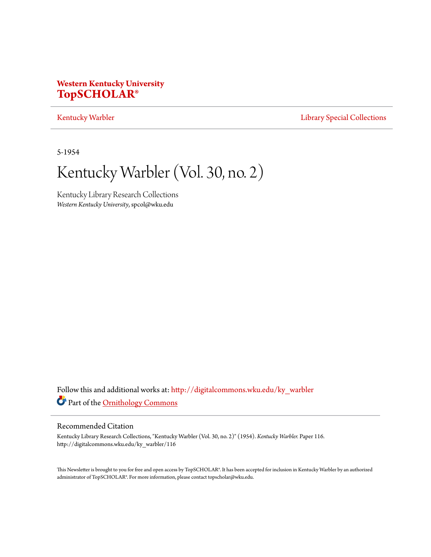### **Western Kentucky University [TopSCHOLAR®](http://digitalcommons.wku.edu?utm_source=digitalcommons.wku.edu%2Fky_warbler%2F116&utm_medium=PDF&utm_campaign=PDFCoverPages)**

### [Kentucky Warbler](http://digitalcommons.wku.edu/ky_warbler?utm_source=digitalcommons.wku.edu%2Fky_warbler%2F116&utm_medium=PDF&utm_campaign=PDFCoverPages) **[Library Special Collections](http://digitalcommons.wku.edu/dlsc?utm_source=digitalcommons.wku.edu%2Fky_warbler%2F116&utm_medium=PDF&utm_campaign=PDFCoverPages)**

5-1954

# Kentucky Warbler (Vol. 30, no. 2)

Kentucky Library Research Collections *Western Kentucky University*, spcol@wku.edu

Follow this and additional works at: [http://digitalcommons.wku.edu/ky\\_warbler](http://digitalcommons.wku.edu/ky_warbler?utm_source=digitalcommons.wku.edu%2Fky_warbler%2F116&utm_medium=PDF&utm_campaign=PDFCoverPages) Part of the [Ornithology Commons](http://network.bepress.com/hgg/discipline/1190?utm_source=digitalcommons.wku.edu%2Fky_warbler%2F116&utm_medium=PDF&utm_campaign=PDFCoverPages)

### Recommended Citation

Kentucky Library Research Collections, "Kentucky Warbler (Vol. 30, no. 2)" (1954). *Kentucky Warbler.* Paper 116. http://digitalcommons.wku.edu/ky\_warbler/116

This Newsletter is brought to you for free and open access by TopSCHOLAR®. It has been accepted for inclusion in Kentucky Warbler by an authorized administrator of TopSCHOLAR®. For more information, please contact topscholar@wku.edu.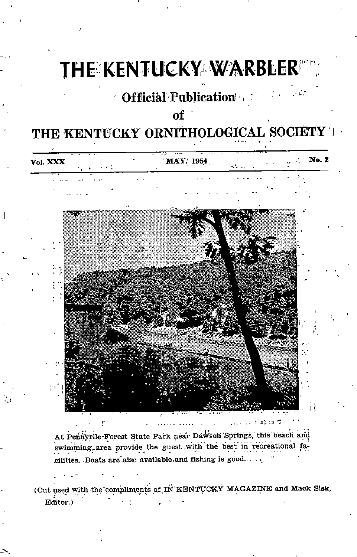# THE KENTUCKY WARBLER"

## Official Publication ,

### of

## THE KENTUCKY ORNITHOLOGICAL SOCIETY T

| Võl. XXX<br>医血管      | <b>MAY</b> 1954 | kita da S                               | No. 2 |
|----------------------|-----------------|-----------------------------------------|-------|
|                      |                 |                                         |       |
|                      |                 |                                         |       |
|                      |                 |                                         |       |
|                      |                 |                                         |       |
|                      |                 |                                         |       |
|                      |                 |                                         |       |
|                      |                 |                                         |       |
|                      |                 |                                         |       |
| $\ddot{\phantom{1}}$ |                 |                                         |       |
|                      |                 |                                         |       |
|                      |                 |                                         |       |
|                      |                 |                                         |       |
|                      |                 |                                         |       |
| 433                  |                 |                                         |       |
|                      |                 |                                         |       |
|                      |                 |                                         |       |
|                      |                 |                                         |       |
|                      |                 |                                         |       |
|                      |                 | $\bar{t}$ - 0.5 apr $\bar{t}$<br>1.1.11 |       |

At Pennyrile-Forest State Park near Dawson Springs, this beach and swimming area provide the guest with the best in recreational facilities. Boats are also available and fishing is good......

(Cut used with the compliments of IN'KENTUCKY MAGAZINE and Mack Sisk, Editor.)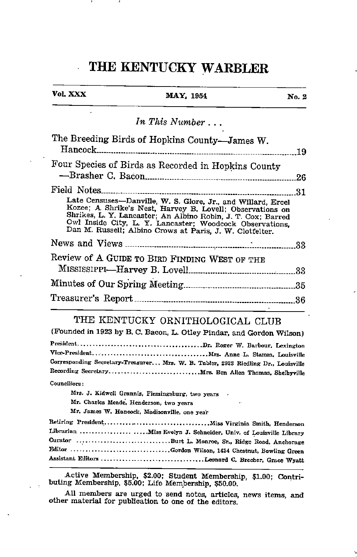### THE KENTUCKY WARBLER

| Vol. XXX | <b>MAY</b> , 1954                                                                                                                                                                                                                                                                                              | No. 2 |
|----------|----------------------------------------------------------------------------------------------------------------------------------------------------------------------------------------------------------------------------------------------------------------------------------------------------------------|-------|
|          | In This Number                                                                                                                                                                                                                                                                                                 |       |
|          | The Breeding Birds of Hopkins County-James W.                                                                                                                                                                                                                                                                  | 19    |
|          | Four Species of Birds as Recorded in Hopkins County                                                                                                                                                                                                                                                            | 26    |
|          |                                                                                                                                                                                                                                                                                                                | 31    |
|          | Late Censuses—Danville, W. S. Glore, Jr., and Willard, Ercel Kozee; A Shrike's Nest, Harvey B. Lovell; Observations on<br>Shrikes, L. Y. Lancaster; An Albino Robin, J. T. Cox; Barred<br>Owl Inside City, L. Y. Lancaster; Woodcock Observations,<br>Dan M. Russell; Albino Crows at Paris, J. W. Clotfelter. |       |
|          |                                                                                                                                                                                                                                                                                                                |       |
|          | Review of A GUIDE TO BIRD FINDING WEST OF THE                                                                                                                                                                                                                                                                  |       |
|          |                                                                                                                                                                                                                                                                                                                |       |
|          |                                                                                                                                                                                                                                                                                                                |       |
|          | THE KENTUCKY ORNITHOLOGICAL CLUB<br>(Founded in 1923 by B. C. Bacon, L. Otley Pindar, and Gordon Wilson)                                                                                                                                                                                                       |       |

Corresponding Secretary-Treasurer... Mrs. W. B. Tabler, 2923 Riedling Dr., Louisville Recording Secretary............................... Mrs. Ben Allen Thomas, Shelbyville Councillors:

Mrs. J. Kidwell Grannis, Flemingsburg, two years

Mr. Charles Meade. Henderson, two years

Mr. James W. Hancock, Madisonville, one year

Retiring President Miss Virginia Smith, Henderson Librarian ...................... Miss Evelyn J. Schneider, Univ. of Louisville Library Curator Burt L. Monroe, Sr., Ridge Road. Anchorage Gordon Wilson, 1434 Chestnut, Bowling Green Assistant Editora Leonard C. Brecher, Grace Wyatt

Active Membership, \$2.00; Student Membership, \$1.00; Contri buting- Membership, \$5.00; Life Membership, \$50.00.

All members are urged to send notes, articles, news items, and other material for publication to one of the editors.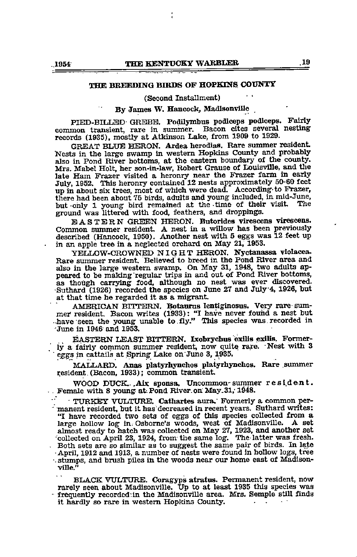### THE BREEDING BIRDS OF HOPKINS COUNTY

(Second Installment)

### By James W. Hancock, MadisonvUle

PIED-BILLED- GREBE. Podilymbus podiceps podiceps. Fairly common transient, rare in summer. Bacon cites several nesting records (1935), mostly at Atkinson Lake, from 1909 to 1929.

GREAT BLUB HERON. Ardea herodias. Rare summer resident Nests in the large swamp in western Hopkins County and probably also in Pond River bottoms, at the eastern boundary of the county. Mrs. Mabel Holt, her son-in-law, Robert Grause of Louisville, and the late Ham Frazer visited a heronry near the Frazer farm in early July, 1952. This heronry contained 12 nests approximately 50-60 feet up in about six trees, most of which were dead. According-to Frazer, there had been about 75 birds, adults and young included, in mid-June,<br>but only 1 young bird remained at the time of their visit. The but only 1 young bird remained at the time of their visit. ground was littered with food, feathers, and droppings.

EASTERN GREEN HERON. Butorides virescens virescens. Common summer resident. A nest in a willow has been previously described (Hancock, 1950). Another nest with 5 eggs was 12 feet up in an apple tree in a neglected orchard on May 21, 1953.

YELLOW-CROWNED NIGHT HERON. Nyctanassa violacea. Rare summer resident. Believed to breed in the Pond River area and also in the large western swamp. On May 31, 1948, two adults ap as though carrying food, although no nest was ever discovered. •Suthard (1926) recorded tte species on June 27 and July4, 1926, but at that time he regarded it as a migrant.

AMERICAN BITTERN. Botaorus lenttginosus. Very rare summer resident. Bacon writes (1933): "I have never found a nest but •have seen the yoimg unable to-fly." This species was. recorded in June in <sup>1946</sup> and 1953.

EASTERN LEAST BITTERN. Ixobrychus exilis exilis. Formerly a fairly common summer resident, now quite rare. Nest with 3 eggs in cattails at Spring- Lake on June 3, 1935.

MALLARD. Anas platyrhynchos platyrhynchos. Rare summer resident. (Bacon, 1933); common transient.

WOOD DUCK.. Aix sponsa. Uncommon-summer resident.<br>Female with 8 young- at Pond River.on May.31, 1948.

• TURKEHT VULTURE. Cathartes aura." Formerly a common per- " manent resident, but it has decreased in recent years. Suthard writes: "I have recorded two sets of eggs of this species collected from <sup>a</sup> large hollow log in. Osbome's woods, west of Madisonville. <sup>A</sup> set almost ready to hatch was collected on May 27, 1923, and another set •collected on April 23, 1924, from- the same log. The latter was fresh. Both sets are so similar as to suggest the same pair of birds. In late •April, <sup>1912</sup> and 1913, a number of nests were foimd in hollow logs, tree  $\cdot$  stumps, and brush piles in the woods near our home east of Madisonville."

BLACK VULTURE. Coragyps atratos. Permanent resident, now rarely seen about Madisonville. Up to at least <sup>1935</sup> this species was • frequently recorded:in the Madisonville area. Mrs. Semple stiU finds it hardly so rare in western Hopkins County.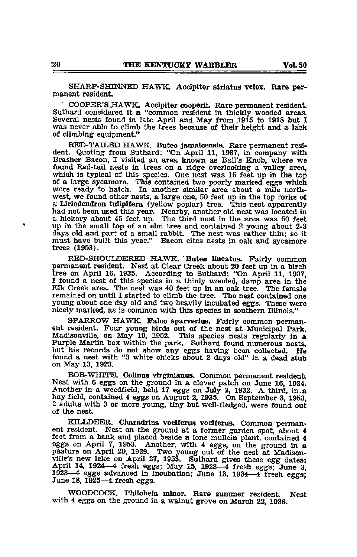SHARP-SHINNED HAWK. Accipiter striatus velox. Rare per-manent resident.

COOPER'S HAWK. Accipiter cooperii. Rare permanent resident.<br>Suthard considered it a "common resident in thickly wooded areas. Several nests found in late April and May from 1915 to 1918 but I was never able to climb the trees because of their height and a lack of climbing equipment."

RED-TAILBD HAWK. Buteo jamaloensis. Rare permanent resi dent. Quoting from Suthard: "On April 11, 1937, in company with Brasher Bacon, I visited an area known as Ball's Knob, where we found Red-tail nests in trees on a ridge overlooking a valley area, which is typical of this species. One nest was 15 feet up in the top of <sup>a</sup> large sycamore. This contained two poorly marked eggs which were ready to hatch. In another similar area about <sup>a</sup> mile north west, we found other nests, <sup>a</sup> large one, <sup>50</sup> feet up in the top forks of <sup>a</sup> Liriodendroa tuUpifera (yellow poplar) tree. This nest apparently had not been used this year. Nearby, another old nest was located in a hickory about 45 feet up. The third nest in the area was 50 feet up in the small top of an elm tree and contained 2 young about 2-3 days old and part of a small rabbit. The nest was rather thin; so it must have built this year." Bacon cites nests in oak and sycamore trees (1953).

RED-SHOULDERED HAWK. 'Buteo lineatus. Fairly common permanent resident. Nest at Clear Creek about 20 feet up in a birch tree on April 16, 1935. According to Suthard: "On April 11, 1937, 1 found a nest of this species in a thinly wooded, damp area in the Elk Creek area. The nest was 40 feet up in an oak tree. The female remained on until I started to climb the tree. The nest contained one young about one day old and two heavily incubated eggs. These were nicely marked, as is common with this species in southern Illinois."

SPARROW HAWK. Falco sparverius. Fairly common permanent resident. Four young birds out of the nest at Municipal Park, Madisonville, on May 19, 1952. This species nests regularly in a<br>Purple Martin box within the park. Suthard found numerous nests,<br>but his records do not show any eggs having been collected. He found a nest with "3 white chicks about 2 days old" In a dead stub on May 13, 1923,

BOB-WHITE. Colinus vlrginianus. Common permanent resident. Nest with 6 eggs on the ground in a clover patch on June 16, 1934. Another in a weedfield, held 17 eggs on July 2, 1932. A third, in.a hay field, contained 4 eggs on August 2, 1935. On September 3, 1953, <sup>2</sup> adults with <sup>3</sup> or more young, tiny but well-fledged, were found out of the nest.

KILLDEER. Charadrius vociferus vociferus. Common permanent resident. Nest on the ground at a former garden spot, about 4 feet from a bank and placed beside a lone mullein plant, contained 4 eggs on April 7, 1953. Another, with 4 eggs, on the ground in a pasture on April 20, 1939. Two young out of the nest at Madison-ville's new lake on April 27, 1953. Suthard gives these egg dates; April 14, 1924—4 fresh eggs; May 15, 1928—4 fresh eggs; June 3, 1923—4 eggs advanced in incubation; June 13, 1934—4 fresh eggs; June 18, 1925—4 fresh eggs.

WOODCOCK. Philohela minor. Rare summer resident. Nest with 4 eggs on the ground in a walnut grove on March 22, 1936.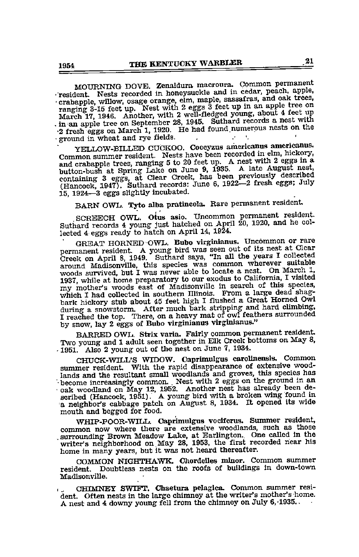MOURNING DOVE. Zenaidura macroura. Common permanent<br>
'resident. Nests recorded in honeysuckle and in cedar, peach, apple,<br>
'crabapple, willow, osage orange, elm, maple, sassafras, and oak trees,<br>
ranging 3-15 feet up. Nest The same and the state of the state of the state of the state of the state of the state of the state of the state of the state of the state of the state of the state of the state of the state of the state of the state of t

YELLOW-BILLED CUCKOO. Coccyzus americanus americanus.<br>Common summer resident. Nests have been recorded in elm, hickory, Common summer resident. Nests have been recorded in elm, hickory, and crabapple trees, ranging 5 to 20 feet up. A nest with 2 eggs in a button-bush at Spring Lake on June 9, 1935. A late August nest, hed August nest containing 3 eggs, at Clear Creek, has been previously described<br>(Hancock, 1947). Suthard records: June 6, 1922—2 fresh eggs; July 15. 1924—3 eggs slightly incubated.

BARN OWL. Tyto alba pratincola. Rare permanent resident,

SCREECH OWL. Otus asio. Uncommon permanent resident Suthard records 4 young just hatched on April 20, 1920, and he col-

lected 4 eggs ready to hatch on April 14, 1924.<br>GREAT HORNED OWL. Bubo virginianus. Uncommon or rare GREAT HORNED OWL. Bubo virginianus. Uncommon or rare<br>permanent resident. A young bird was seen out of its nest at Clear Creek on April 8, 1949. Suthard says, "In all the years I collected around Madisonville, this species was common wherever suitable<br>woods survived, but I was never able to locate a nest. On March 1, woods survived, but I was never able to locate a nest. On March 1, 1937, while at home preparatory to our exodus to California, I visited my mother's woods east of Madisonville in search of this species, which I had collected in southern Illinois. From a large dead shag-bark hickory stub about 45 feet high I flushed a Great Horned Owl during a snowstorm. Aft I reached the top. There, on a heavy mat of owl feathers surrounded by snow, lay 2 eggs of Bubo virginianus virginianus."

BARRED OWL. Strix varia. Fairly common permanent resident Two young and 1 adult seen together in Elk Creek bottoms on May 8. -1951. Also 2 young out of the nest on June 7, 1934.

summer resident. With the rapid disappearance of extensive woodlands and the resultant small woodlands and groves, this species has '• become increasingly common. Nest with 2 eggs on the ground in an • oak woodland on May 12, 1952. Another nest has already been de scribed (Hancock, 1951). A young bird with a broken wing found in a neighbor's cabbage patch on August 8, 1934. It opened its wide mouth and begged for food.

WHIP-POOR-WILL. Oaprimulgus voclferus. Summer resident, common now where there are extensive woodlands, such as those surrounding Brown Meadow Lake, at Earlington. One called in the writer's neighborhood on May 28, 1953, the first recorded near his home in many years, but it was not heard thereafter.

COMMON NIGHTHAWK. Chordelles minor. Common summer resident. Doubtless nests on the roofs of buildings in down-town Madisonville.

CHIMNEY SWIFT. Chaetura pelagica. Common summer resident. Often nests in the large chimney at the writer's mother's home. A nest and 4 downy young fell from the chimney on July 6,'1935..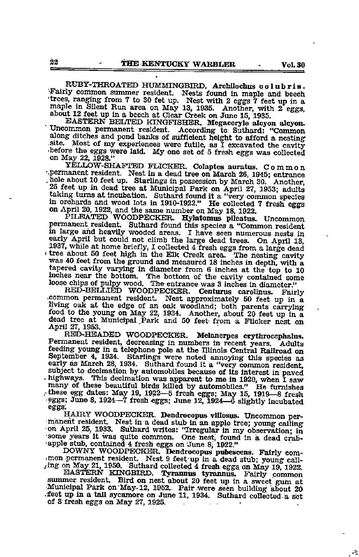RUBY-THROATED HUMMINGBIRD. Archilochus colubris.<br>Fairly common summer resident. Nests found in maple and beech Trees, ranging from 7 to 30 fet up. Nest with 2 eggs 7 feet up in a maple in Silent Run area on May 13, 1935. Another, with 2 eggs, about 12 feet up in a beech at Clear Creek on June 15, 1935.<br>EASTERN BELTED KINGFISHER. Me

along ditches and point of the sufficient of the sufficient of the cavity shelong the eggs were laid. My one set of 5 fresh eggs was collected on May 22, 1928."

YELLOW-SHAFTED FLICKER. Colaptes auratus. Common •.permanent resident. Nest in a dead tree on March 26, 1945; entrance hole about 10 feet up. Starlings in possession by March 30. Another, 25 feet up in dead tree at Municipal Park on April 27, 1953; adults taking turns at incubation. Suthard found it a "very common species in orchards and wood lots in 1910-1922." He collected 7 fresh eggs on April 20, 1922, and the same number on May 18, 1922.

PILEATED WOODPECKER. Hylatomus pUeatus. Uncommon permanent resident. Suthard found this species a "Common resident in large and heavily wooded areas. I have seen numerous nests in early April but could not climb the large dead trees. On April 13, 1937, while at home briefly, I collected 4 fresh eggs from a large dead tree about <sup>50</sup> feet high in the Elk Creek area. The nesting cavity was 40 feet from the ground and measured 18 inches in depth, with <sup>a</sup> tapered cavity varying in diameter from 6 inches at the top to 10 inches near the bottom. The bottom of the cavity contained some loose chips of pulpy wood. The entrance was 3 inches in diameter."

RED-BELLIÉD WOODPECKER. Centurus carolinus. Fairly<br>common permanent resident. Nest approximately 50 feet up in a<br>living oak at the edge of an oak woodland; both parents carrying<br>food to the young on May 22, 1934. Another, dead tree at Municipal Park and <sup>50</sup> feet from <sup>a</sup> Flicker nest on April 27, 1953.

RED-HEADED WOODPECKER. Melanerpes erythrocephalus.<br>Permanent resident, decreasing in numbers in recent years. Adults<br>feeding young in a telephone pole at the Illinois Central Railroad on September 4, 1934. Starlings were noted annoying this species as early as March 28, 1934. Suthard found it a "very common resident, subject to decimation by automobiles because of its interest in paved highways. This decimation was apparent to me in 1920, when I saw these egg dates: May 19, 1922—5 fresh eggs; May 15, 1919—8 fresh  $-$ eggs; June 8, 1924—7 fresh eggs; June 12, 1924—6 slightly incubated

eggs.<br>
HAIRY WOODPECKER. Dendrocopus villosus. Uncommon per-HAIRY WOODPECKER. Dendrocopus villosus. Uncommon per-manent resident. Nest in a dead stub in an apple tree; young calling on April 25, 1933. Suthard writes: "Irregular in my observation; in some years it was quite common.

DOWNY WOODPECKER. Dendrocopus pubescens. Fairly com mon permanent resident. Nest 9 feet up in a dead stub; young call-<br>ring on May 21, 1950. Suthard collected 4 fresh eggs on May 19, 1922.

EASTERN KINGBIRD. Tyrannus tyrannus. Fairly common Municipal Park on May-12, 1952. Pair were seen building about 20 .feet up in a tall sycamore on Jime 11, 1934. Suthard coUected-a set summer resident. Bird on nest about 20 feet up in a sweet gum at

÷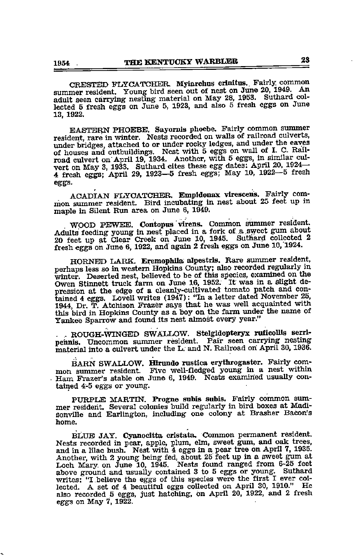CRESTED FLYCATCHER. Myiarchus crinitus.. Fairly common summer resident. Young bird seen out of nest on Jime 20, ^949. adult seen carrying nesting material on May 28, 1953. Suthard collected 5 fresh eggs on June 5, 1923, and also 5 fresh eggs on Jime 13, 1922.

EASTERN PHOEBE. Sayornis phoebe. Fairly common summer resident, rare in winter. Nests recorded on walls of railroad culverts, under bridges, attached to or under rocky ledges, and under the eaves of houses and outbuildings. Nest with 5 eggs on wall of I. C. Railof houses and outbuildings. Nest with 5 eggs on wall of I. C. Rail-<br>road culvert on April 19, 1934. Another, with 5 eggs, in similar cul-<br>vert on May 3, 1933. Suthard cites these egg dates: April 20, 1924 4 fresh eggs; April 29, 1923—5 fresh eggs; May 10, 1922—5 fresh eggs.

ACADIAN FLYCATCHER. Empldonax vlrescens. Fairly com mon summer resident. Bird incubating in nest about <sup>25</sup> feet up in maple in Silent Run area on Jime 6, 1949.

WOOD PEWEE. Contopus virens. Common summer resident.<br>Adults feeding young in nest placed in a fork of a sweet gum about 20 feet up at Clear Creek on June 10, 1945. Suthard collected 2 fresh eggs on June 6, 1922, and again 2 fresh eggs on June 10, 1924.

HORNE<sup>C</sup> LARK. Eremophila alpestris. Rare summer resident, perhaps less so in western Hopkins County; also recorded regularly in winter. Deserted nest, believed to be of this species, examined on the Owen Stinnett truck farm on June 16, 1952. It was in a slight de pression at the edge of a cleanly-cultivated tomato patch and contained 4 eggs. Lovell writes (1947): "In a letter dated November 25, 1944, Dr. T. Atchison Frazer says that he was well acquainted with this bird in Hopkins County as a boy on the farm under the name of Yankee Sparrow and found its nest almost every year."

. . ROUGH-WINGED SWAULOW. Stelgldopteryx ruficoliis serripehnis. Uncommon summer resident. Pair seen carrying nesting material into a culvert imder the L; and N. Railroad on April 30,1936.

BARN SWALLOW. Hirundo rustica erythrogaster. Fairly com mon summer resident. Five well-fledged young in a nest within Ham Frazer's stable on June 6, 1949. Nests examined usually contained 4-5 eggs or young.

PURPLE MARTIN. Progne subis subis. Fairly common sum mer resident. Several colonies build regularly in bird boxes at Madi-Sonville and Earlington, including one colony at Brasher Bacon's home.

BLUB JAY. Gyanocitta cristata. Common permanent resident. Nests recorded in pear, apple, plum, elm, sweet gum, and oak trees, and in a lilac bush. Nest with 4 eggs in a pear tree on April 7, 1935.<br>Another, with 2 young being fed, about 25 feet up in a sweet gum at<br>Loch Mary on June 10, 1945. Nests found ranged from 6-25 feet<br>above ground and usua writes: "I believe the eggs of this species were the first I ever  $\rm{co}$ lected. A set of 4 beautiful eggs collected on April 30, 1910." He also recorded 5 eggs, just hatching, on April 20, 1922, and 2 fresh eggs on May 7, 1922.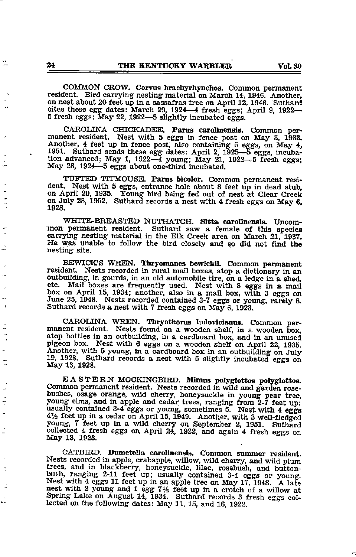COMMON CROW. Corvus brachyrhynchos. Common permanent resident. Bird carrying nesting material on March 14, 1946. Another, on nest about 20 feet up in a sassafras tree on April 12, 1946. Suthard cites these egg dates: March 29, 1924—4 fresh eggs; April 9, 1922— 5 fresh eggs; May 22, 1922—5 slightly incubated eggs.

CAROLINA CHICKADEE. Parus carolinensis. Common permanent resident. Nest with 5 eggs in fence post on May 3, 1933. Another, 4 feet up in fence post, also containing 5 eggs, on May 4, 1951. Suthard sends these egg dates: April 2, 1925—5 eggs, incuba tion advanced; May 1, 1922—4 young; May 21, 1922—5 fresh eggs; May 28, 1924—5 eggs about one-third incubated.

TUFTED TITMOUSE. Parus bicolor. Common permanent resi on April 20, 1935. Young bird being fed out of nest at Clear Creek on July 28, 1952. Suthard records a nest with 4 fresh eggs on May 6. 1928.

WHITE-BREASTED NUTHATCH. Sitta carolinensis. Uncommon permanent resident. Suthard saw a female of this species carrying nesting material in the Elk Creek area on March 21, 1937. He was unable to follow the bird closely and so did not find the nesting site.

BEWICK'S WREN. Thryomanes bewickiL Common permanent resident. Nests recorded in rural mail boxes, atop <sup>a</sup> dictionary in an outbuilding, in gourds, in an old automobile tire, on a ledge in a shed, etc. Mail boxes are frequently used. Nest with 8 eggs in a mail box on April 15, 1934; another, also in a mail box, with 3 eggs on June 25, 1948. Nests recorded contained 3-7 eggs or young, rarely 8. Suthard records a nest with 7 fresh eggs on May 6, 1923.

CAROLINA WREN. Thryothorus ludovicianus. Common permanent resident. Nests found on a wooden shelf, in a wooden box, atop bottles in an outbuilding, in a cardboard box, and in an unused pigeon box. Nest with 6 eggs on a wooden shelf on April 22, 1935. Another, with 5 young, in a cardboard box in an outbuilding on July 19, 1928. Suthard records a nest with 5 slightly incubated eggs on May 13, 1928.

EASTERN MOCKINGBIRD. Mlmus polyglottos polyglottos. Common permanent resident. Nests recorded in wild and garden rose bushes, osage orange, wild cherry, honeysuckle in young pear tree, young elms, and in apple and cedar trees, ranging from  $2\overline{7}$  feet up; usually contained 3-4 eggs or young, sometimes 5. Nest with 4 eggs  $4\frac{1}{2}$  feet up in a cedar on April 15, 1949. Another, with 3 well-fledged young, 7 feet up in a wild cherry on September 2, 1951. Suthard collected <sup>4</sup> fresh eggs on April 24, 1922, and again <sup>4</sup> fresh eggs on May 13, 1923.

CATBIRD. Dumetella carolinensis. Common summer resident. Nests recorded in apple, crabapple, willow, wild cherry, and wild plum trees, and in blackberry, honeysuckle, lilac, rosebush, and buttonbush, ranging 2-11 feet up; usually contained 3-4 eggs or young. Nest with 4 eggs 11 feet up in an apple tree on May 17, 1948. A late nest with 2 young and 1 egg  $7\frac{1}{2}$  feet up in a crotch of a willow at Spring Lake on August 14, 1934. Suthard records 3 fresh eggs col lected on the following dates: May 11, 15, and 16, 1922.

L.

÷, J. ŏ

٠. ì

Ė

÷

÷, ÷, ÷

4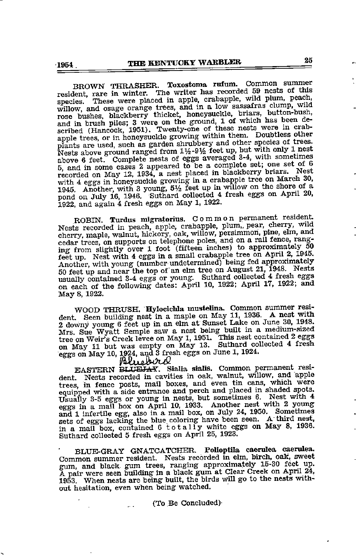BROWN THRASHER. Toxostoma rutum. Common summer<br>resident, rare in winter. The writer has recorded 59 nests of this<br>species. These were placed in apple, crabapple, wild plum, peach,<br>willow, and osage orange trees, and in a l rose bushes, blackberry thicket, honeysuckle, briars, button-bush, and in brush piles; 3 were on the ground, 1 of which has been deapple trees, or in honeysuckle growing within them. Doubtless other plants are used, such as garden shrubbery and other species of trees. Nests above ground ranged from 1½-9½ feet up, but with only 1 nest<br>above 6 feet. Complete nests of eggs averaged 3-4, with sometimes 5, and in some cases 2 appeared to be a complete set; one set of 6 recorded on May 12, 1934, a nest placed in blackberry briars. Nest with 4 eggs in honeysuckle growing in a crabapple tree on March 30, with 4 eggs in honeysuckle growing in a crabapple tree on March 30, 1945. Another, with 3 young,  $5\frac{1}{2}$  feet up in willow on the shore of a pond on July 16, 1946. Suthard collected <sup>4</sup> fresh eggs on April 20, 1922, and again 4 fresh eggs on May 1, 1922.

ROBIN. Turdus migratorius. Common permanent resident. Nests recorded in peach, apple, crabapple, plum, pear, cherry, wild cherry, maple, walnut, hickory, oak, willow, persimmon, pine, elm, and cedar trees, on supports on telephone poles, and on a rail fence, ranging from slightly over 1 foot (fifteen inches) to approximately 50 feet up. Nest with 4 eggs in a small crabapple tree on April 2, 1940. 50 feet up and near the top of an elm tree on August 21, 1948. Nests usually contained 3-4 eggs or young. Suthard collected 4 fresh eggs on each of the following dates: April 10, 1922; April 17, 1922; and May 8, 1922.

WOOD THRUSH. Hylocichla mustelina. Common summer resident. Seen building nest in a maple on May 11, 1936. A nest with 2 downy young 6 feet up in an elm at Sunset Lake on June 30, 1948. Mrs Sue Wyatt Semple saw a nest being built in a medium-sized tree on Weir's Creek levee on May 1,1951. This nest contained 2 eggs on May 11 but was empty on May 13. Suthard collected 4 fresh eggs on May 10, 1924, and 3 fresh eggs on June 1, 1924.

EASTERN BLUEJAY. Sialia sialis. Common permanent resi-<br>... Nests recorded in cavities in oak, walnut, willow, and apple dent. Nests recorded in cavities in oak, waintub, who we are press, in fence posts, mail boxes, and even tin cans, which were equipped with a side entrance and perch and placed in shaded spots. Usually 3-5 eggs or young in eggs in a mail box on April 10, 1933. Another nest with 2 young<br>and 1 infertile egg, also in a mail box, on July 24, 1950. Sometimes<br>sets of eggs lacking the blue coloring have been seen. A third nest,<br>in a mail box, cont

BLUE-GRAY GNATCATCHER. Polioptila caerulea caerulea. Common summer resident. Nests recorded in elm, birch, oak, sweet A pair were seen building in a black gum at Clear Creek on April 24, 1953. When nests are being built, the birds will go to the nests without hesitation, even when being watched.

(To .Be Concluded)-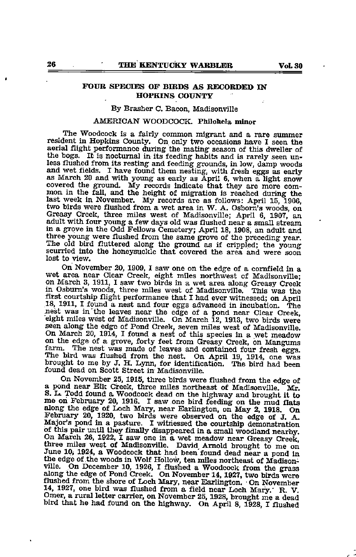### HOPKINS COUNTY

### By Brasher C. Bacon, Madisonville

### AMERICAN WOODCOCK. Philohela minor

The Woodcock is a fairly common migrant and <sup>a</sup> rare summer resident in Hopkins County. On only two occasions have <sup>I</sup> seen the aerial flight performance during the mating season of this dweller of the bogs. It is nocturnal in its feeding habits and is rarely seen unless flushed from its resting and feeding grounds, in low, damp woods and wet fields. I have found them nesting, with fresh eggs as early as March 20 and with young as early as April 6, when a light snow covered the ground. My records indicate that they are more common in the fall, and the height of migration is reached during the last week in November. My records are as follows: April 15, 1906, two birds were flushed from a wet area in W. A. Osbom's woods, on Greasy Creek, three miles west of Madisonville; April 6, 1907, an adult with four young <sup>a</sup> few days old was flushed near <sup>a</sup> small stream in a grove in the Odd Fellows Cemetery; April 18, 1908, an adult and three young were flushed from the same grove of the preceding year. The old bird fluttered along the ground as if crippled; the young The old bird fluttered along the ground as if crippled; the young scurried into the honeysuckle that covered the area and were soon lost to view.

On November 20, 1909, I saw one on the edge of a cornfield in <sup>a</sup> wet area near Clear Creek, eight miles northwest of Madisonville; on March 3, 1911, I saw two birds in a wet area along Greasy Creek in Osbum's woods, three miles west of Madisonville. This was the first courtship flight performance that I had ever witnessed; on April 18, 1911, I found <sup>a</sup> nest and four eggs advanced in incubation. The nest was in the leaves near the edge of a pond near Clear Creek eight miles west of Madisonville. On March 12, 1913, two birds were seen along the edge of Pond Creek, seven miles west of Madisonville. seen along the edge of Pond Creek, seven miles west of Madisonville. On March 20, 1914, I found a nest of this species in a wet meadow on the edge of a grove, forty feet from Greasy Creek, on Mangums farm. The nest was made of leaves and contained four fresh eggs. The bird was flushed from the nest. On April 19, 1914, one was brought to me by J. H. Lynn, found dead on Scott Street in Madisonville.

On November 25, 1915, three birds were flushed from the edge of <sup>a</sup> pond near Elk Creek, three miles northeast of Madisonville, Mr. S. L. Todd found a Woodcock dead on the highway and brought it to me on February 20, 1916. I saw one bird feeding on the mud flats February 20, 1920, two birds were observed on the edge of J. A. Major's pond in a pasture. I witnessed the courtship demonstration of this pair until they finally disappeared in a small woodland nearby. On March 26, 1922, I saw one in a wet meadow near Greasy Creek, three miles west of Madisonville. David Arnold brought to me on June 10, 1924, a Woodcock that had been found dead near a pond in the edge of the woods in Wolf Hollow, ten miles northeast of Madisonville. On December 10, 1926, I flushed a Woodcock from the grass along the edge of Pond Creek. On November 14, 1927, two birds were flushed from the shore of Loch Mary, near Earlington. •On November 14, 1927, one bird was flushed from a field near Loch Mary.' R. V. Omer, a rural letter carrier, on November 25,1928, brought me a dead bird that he had found on the highway. On April 8, 1928, I flushed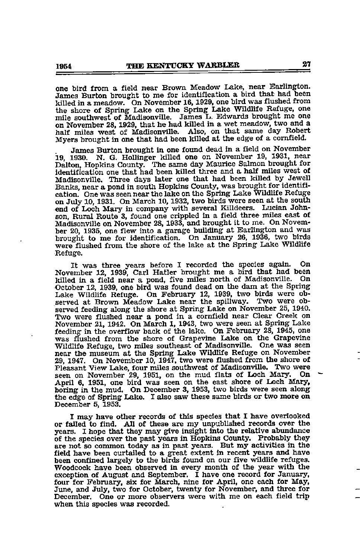one bird from a field near Brown Meadow Lake, near Earlington. James Burton brought to me for identification a bird that had been killed in a meadow. On November 16, 1929, one bird was flushed from the shore of Spring Lake on the Spring Lake Wildlife Refuge, one on November 28, 1929, that he had killed in a wet meadow, two and a half miles west of Madisonville. Also, on that same day Robert Myers brought in one that had beenkilled at the edge of a cornfield.

James Burton brought in one found dead in a field on November 19, 1931, near 19, 1931, near Dalton, Hopkins County. The same day Maurice Salmon brought for identification one that had been killed three and a half miles west of Madisonville. Three days later one that had been killed by Jewell Banks, near a pond in south Hopkins County, was brought for identifi on July 10, 1931. On March 10, 1932, two birds were seen at the south end of Loch Mary in company with several Killdeers. Lucian John son, Rural Route 3, found one crippled in a field three miles east of Madisonville on November 28, 1933, and brought it to me. On November 20, 1935, one flew into a garage building at Earlington and was brought to me for identification. On January 26, 1936, two birds were flushed from the shore of the lake at the Spring Lake Wildlife Refuge.

It was three years before I recorded the species again. On November 12, 1939, Carl Hatler brought me a bird that had been<br>billed in a field near a nond, five miles north of Madisonville. On killed in a field near a pond, five miles north of Madisonville. October 12, 1939, one bird was foimd dead on the dam at the Spring Lake Wildlife Refuge. On February 12, 1939, two birds were ob served at Brown Meadow Lake near the spillway. Two were ob served feeding along the shore at Spring Lake on November 25, 1940.<br>Two were flushed near a pond in a cornfield near Clear Creek on November 21, 1942. On March 1, 1943, two were seen at Spring Lake feeding in the overflow back of the lake. On February 28, 1945, one was flushed from the shore of Grapevine Lake on the Grapevine Wildlife Refuge, two miles southeast of Madisonville. One was seen near the museum at the Spring Lake Wildlife Refuge on November 29, 1947. On November 10, 1947, two were flushed from the shore of Pleasant View Lake, four miles southwest of Madisonville. Two were seen on November 29, 1951, on the mud flats of Loch Mary. On April 6, 1951, one bird was seen on the east shore of Loch Mary, boring in the mud. On December 3, 1953, two birds were seen along the edge of Spring Lake. <sup>I</sup> also saw these same birds or two more on December 5, 1953.

<sup>I</sup> may have other records of this species that <sup>I</sup> have overlooked or failed to find. All of these are my unpublished records over the years. I hope that they may give insight into the relative abundance of the species over the past years in Hopkins County. Probably they are not so common today as in past years. But my activities in the field have been curtailed to a great extent in recent years and have been confined largely to the birds found on our five wildlife refuges. Woodcock have been observed in every month of the year with the exception of August and September. I have one record for January, four for February, six for March, nine for April, one each for May, June, and July, two for October, twenty for November, and three for December. One or more observers were with me on each field trip when this species was recorded.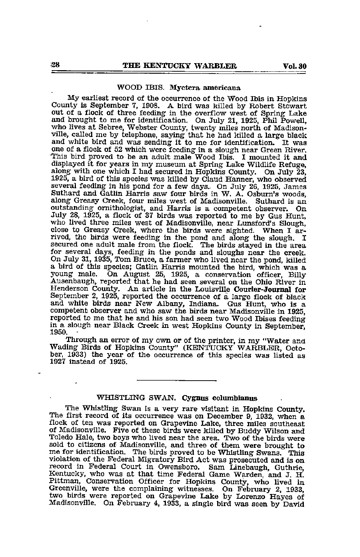### WOOD IBIS. Myctera americana

My earliest record of the occurrence of the Wood Ibis in Hopkins County is September 7, 1908. A bird was killed by Robert Stewart out of a flock of three feeding in the overflow west of Spring Lake and brought to me for identification. On July 21, 1925, Phil Powell, who lives at Sebree, Webster County, twenty miles north of Madisonville, called me by telephone, saying that he had killed a large black and white bird and was sending it to me for identification. It was one of <sup>a</sup> flock of 52 which were feeding in <sup>a</sup> slough near Green River. This bird proved to be an adult male Wood Ibis. I mounted it and displayed it for years in my museum at Spring Lalce Wildlife Refuge, along with one which I had secured in Hopkins County. On July 23, 1925, a bird of this species was killed by Claud Hanner, who observed several feeding in his pond for a few days. On July 26, 1925, James Suthard and Gatlin Harris saw four birds in W. A. Osbum's woods, along Greasy Creek, four miles west of Madisonville. Suthard is an outstanding ornithologist, and Harris is a competent observer. On July 28, 1925, a flock of 37 birds was reported to me by Gus Hunt, who lived three miles west of Madisonville, near Lunsford's Slough, close to Greasy Creek, where the birds were sighted. When <sup>I</sup> ar rived, the birds were feeding in the pond and along the slough. <sup>I</sup> secured one adult male from the flock. The birds stayed in the area for several days, feeding in the ponds and sloughs near the creek. On July 31,1935, Tom Bruce, <sup>a</sup> farmer who lived near the pond, killed <sup>a</sup> bird of this species; Gatlin Harris mounted the bird, which was <sup>a</sup> young male. On August 25, 1925, a conservation officer, Billy young male. On August 25, 1925, a conservation officer, Billy Ausenbaugh, reported that he had seen several on the Ohio River in Henderson County. An article in the Louisville Courier-Journal for September 2, 1925, reported the occurrence of a large flock of black and white birds near New Albany, Indiana. Gus Hunt, who is <sup>a</sup> competent observer and who saw the birds near Madisonville in 1925, reported to me that he and his son had seen two Wood Ibises feeding in a slough near Black Creek in west Hopkins County in September, 1950.

Through an error of my own or of the printer, in my "Water and Wading Birds of Hopkins County" (KENTUCKY WARBLER, Octo ber, 1933) the year of the occurrence of this species was listed as 1927 instead of 1925.

### WHISTLING SWAN. Cygnus columbianus

The Whistling Swan is a very rare visitant in Hopkins County. The first record of its occurrence was on December 9, 1932, when <sup>a</sup> flock of ten was reported on Grapevine Lake, three miles southeast of Madisonville. Five of these birds were killed by Buddy Wilson and Toledo Hale, two boys who lived near the area. Two of the birds were sold to citizens of Madisonville, and three of them were brought to me for identification. The birds proved to be Whistling Swans. This me for identification. The birds proved to be Whistling Swans. This violation of the Federal Migratory Bird Act was prosecuted and is on record in Federal Court in Owensboro. Sam Linebaugh, Guthrie, Kentucky, who was at that time Federal Game Warden, and J. H. Pittman, Conservation Officer for Hopkins County, who lived in Greenville, were the complaining witnesses. On February 2, 1933, two birds were reported on Grapevine Lake by Lorenzo Hayes of Madisonville. On February 4, 1933, a single bird was seen by David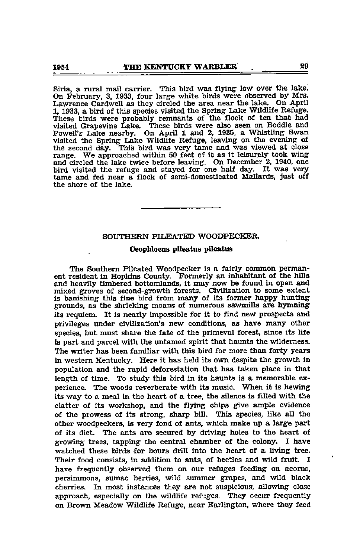Siria, a rural mail carrier. This bird was flying low over the lake. On February, 3, 1933, four large white birds were observed by Mrs. Lawrence Cardwell as they circled the area near the lake. On April 1, 1933, a bird of this species visited the Spring Lake Wildlife Refuge. These birds were probably remnants of the flock of ten that had visited Grapevine Lake. These birds were also seen on Boddie and Powell's Lake nearby. On April 1 and 2, 1935, a Whistling Swan visited the Spring Lake Wildlife Refuge, leaving on the evening of the second day. This bird was very tame and was viewed at close range. We approached within 50 feet of it as it leisurely took wing and circled the lake twice before leaving. On December 2, 1940, one bird visited the refuge and stayed for one half day. It was very tame and fed near a flock of semi-domesticated Mallards, just off the shore of the lake.

### SOUTHERN PILEATED WOODPECKER.

### Oeophlocns plleatas pUeatus

The Southern Pileated Woodpecker is a fairly common perman ent resident in Hopkins Coimty. Formerly an inhabitant of the hills and heavily timbered bottomlands, it may now be found in open and mixed groves of second-growth forests. Civilization to some extent is banishing this fine bird from many of its former happy hunting grounds, as the shrieking moans of numerous sawmills are hymning its requiem. It is nearly Impossible for it to find new prospects and privileges imder civilization's new conditions, as have many other species, but must share the fate of the primeval forest, since its life is part and parcel with the untamed spirit that haunts the wilderness. The writer has been familiar with this bird for more than forty years in western Kentucky. Here it has held its own despite the growth in population and the rapid deforestation that has taken place in that length of time. To study this bird in its haunts is a memorable experience. The woods reverberate with its music. When it Is hewing its way to a meal in the heart of a tree, the silence is filled with the clatter of its workshop, and the flying chips g^ve ample evidence of the prowess of its strong, sharp bill. This species, like all the other woodpeckers, is very fond of ants, which make up a large part of its diet. The ants are secured by driving holes to the heart of growing trees, tapping the central chamber of the colony. I have watched these birds for hours drill into the heart of a living tree. Their food consists, in addition to ants, of beetles and wild fruit. I have frequently observed them on our refuges feeding on acoms, persimmons, sumac berries, wild summer grapes, and wild black cherries. In most instances they are not suspicious, allowing close approach, especially on the wildlife refuges. They occur frequently on Brown Meadow Wildlife Refuge, near Earlington, where they feed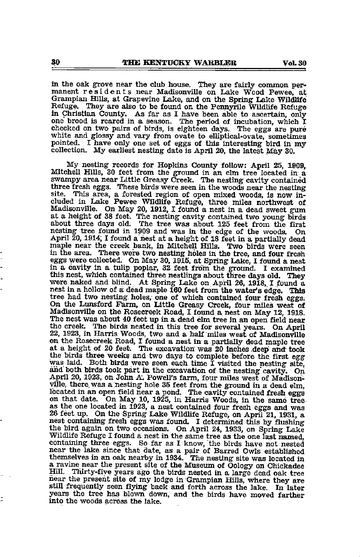in the oak grove near the club house. They are fairly common permanent residents near Madisonville on Lake Wood Pewee, at Grampian Hills, at Grapevine Lake, and on the Spring Lake Wildlife Refuge. They are also to be found on the Pennyrile Wildlife Refuge in Christian County. As far as I have been able to ascertain, only one brood is reared in a season. The period of incubation, which I checked on two pairs of birds, is eighteen days. The eggs are pure white and glossy and vary from ovate to elliptical-ovate, sometimes pointed. I have only one set of eggs of this interesting bird in my collection. My earliest nesting date is April 20, the latest May 30.

My nesting records for Hopkins County follow: April 25, 1909, Mitchell Hills, <sup>30</sup> feet from the ground in an elm tree located in <sup>a</sup> swampy area near Little Greasy Creek. The nesting cavity contained three fresh eggs. These birds were seen in the woods near the nesting site. This area, a forested region of open mixed woods, is now in-This area, a forested region of open mixed woods, is now included in Lake Pewee Wildlife Refuge, three miles northwest of Madisonville. On May 20, 1912, I found a nest in a dead sweet gum<br>at a height of 38 feet. The nesting cavity contained two young birds about three days old. The tree was about 125 feet from the first nesting tree found in 1909 and was in the edge of the woods. On April 20,1914; I found a hest at a height of 18 feet in a partially dead maple near the creek bank, in Mitchell Hills. Two birds were seen in the area. There were two nesting holes in the tree, and four fresh eggs were collected. On May 30,1915, at Spring Lake, I found a nest in a cavity in a tulip poplar, 32 feet from the ground. I examined this nest, which contained three nestlings about three days old. They were naked and blind. At Spring Lake on April 26, 1918, I found <sup>a</sup> nest in <sup>a</sup> hollow of a dead maple <sup>160</sup> feet from the water's edge. This tree had two nesting holes; one of which contained four fresh eggs; On the Lunsford Farm, on Little Greasy Creek, four miles west o£ Madisonville on the Rosecreek Road, I found a nest on May 12, 1918. the creek. The birds nested in this tree for several years. On April 22, 1923, in Harris Woods, two and a half miles west of Madisonville on the Rosecreek Road, I found a nest in a partially dead maple tree at a height of 20 feet. The excavation' was 20 Inches deep an<t took the birds three weeks and two days to complete before the first egg was laid. Both birds were seen each time I visited the nesting site, and both birds took part in the excavation of the nesting cavity. On April 20, 1923, on John A. Powell's farm, four miles west of Madison ville, there was a nesting hole 35 feet from the ground in a dead elm, located in an open field near a pond. The cavity contained fresh eggs on that date. On May 10, 1925, in Harris Woods, in the same tree as the one located in 1923, a nest contained four fresh eggs and was 26 feet up. On the Spring Lake Wildlife Refuge, on April 21, 1931, a nest containing fre the bird again on two occasions. On April 24, 1933, on Spring Lake Wildlife Refuge I found a nest in the same tree as the one last named, containing three eggs. So far as I know, the birds have not nested near the lake since that date, as a pair of Barred Owls established themselves in an oak nearby in 1934. The nesting site was located in <sup>a</sup> ravine near the present site of the Museum of Oology on Chickadee fiear the present site of my lodge in Grampian Hills, where they are still frequently seen flying back and forth across the lake. In later years the tree has blown down, and the birds have moved farther into the woods across the lake.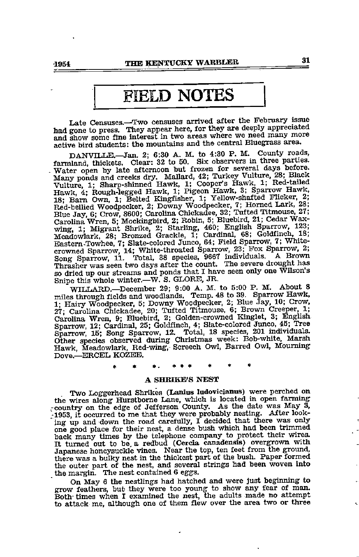## FIELD NOTES

Late Censuses.—Two censuses arrived after the February issue had gone to press. They appear here, for they are deeply appreciated and show some fine interest in two areas where we need many more active bird students: the mountains and the central Bluegrass area. DANVILLE,—Jan. 2; 6:30 A. M. to 4:30 P. M. County roads,

farmland, thickets. Clear: 32 to 50. Six observers in three parties. Water open by late afternoon but frozen for several days before. Many ponds and creeks dry. Mallard, 42; Turkey Vultwe, 28; Black Vulture, 1; Sharp-shinned Hawk, 1; Cooper's Hawk, 1; Red-tailed Hawk, 4; Rough-legged Hawk, 1; Pigeon Hawk, 3; Sparrow Hawk, 18; Barn Own, 1; Belted Kingfisher, 1; Yellow-shafted Flicker, 2; Red-bellied Woodpecker, 2; Downy Woodpecker, 7; Horned Lark, 28; Blue Jay, 6; Crow, 8600; Carol Carolina Wren, 5; Mockingbird, 2; Robin, 5; Bluebird, 21; Cedar Waxwing, 1; Migrant Shrike, 2; Starling, 460; English Sparrow, 123; Meadowlark, 28; Bronzed Grackle, 1; Cardinal, 68; Goldfinch, 18; Eastern Towhee, 7; Slate-Eastern-Towhee, 7; Slate-colored Junco, 64; Field Sparrow, 7; White-<br>crowned Sparrow, 14; White-throated Sparrow, 23; Fox Sparrow, 2;<br>Song Sparrow, 11. Total, 38 species, 9667 individuals. A Brown<br>these Thrasher was seen two days after the count. The severe drought has so dried up our streams and ponds that I have seen only one Wilson's Snipe this whole winter.—W. S. GLORE, JR.

WILLARD.—December 29; 9:00 A. M. to 5:00 P. M. About 8 miles through fields and woodlands. Temp. 48 to 39. Sparrow Hawk, 1; Hairy Woodpecker, 5; Downy Woodpecker, 2; Blue Jay, 10; Crow, 27; Carolina Chickadee, 20; Tufted Titmouse, 6; Brown Creeper, 1; Carolina Wren, 9; Bluebird, 2; Golden-crowned Kinglet, 3; English Sparrow, 12; Cardinal, 25 Other species observed during Christmas week: Bob-white, Marah Hawk, Meadowlark, Red-wing,- Screech Owl, Barred Owl, Mourning Dove.—ERCEL KOZEB.

### A SHRIKE'S NEST

Two Loggerhead Shrikes (Lanius ladovicianus) were perched on the wires along Hurstbome Lane, which is located in open farming -country on the edge of Jefferson County. As the date was May 3, 1953, it occurred to me that they were probably nesting. After looking up and down the road carefully, I decided that there was only one good place for their nest, a dense bush which had been trimmed back many times by the telephone company to protect their wires. It turned out to be, a redbud (Cercia canadensis) overgrown with Japanese honeysuckle vines. Near the top, ten feet from the ground, there was a bulky nest in the thickest part of the bush. Paper formed the outer part of the nest, and several strings had been woven into the margin. The nest contained 6 eggs.

On May 6 the nestJings had hatched and were just beginning to grow feathers, but they were too young to show any fear of man. Both times when I examined the nest, the adults made no attempt to attack me, although one of them flew over the area two or three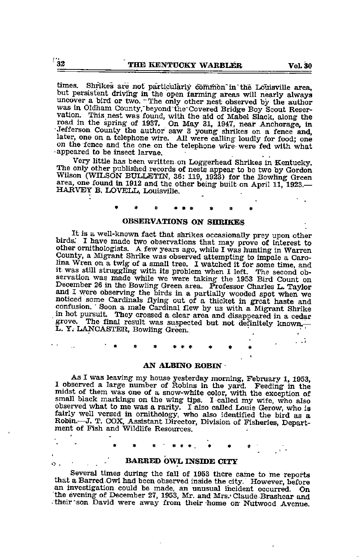times. Shrikes are not particularly common in the Louisville area, but persistent driving in the open farming areas will nearly always uncover a bird or two. "The only other nest observed by the author was in Oldham County, beyond the Covered Bridge Boy Scout Reservation. This nest was found, with the aid of Mabel Slack, along the road in the spring of 1937. On May 31, 1947, near Anchorage, in Jefferson County the author saw 3 young shrikes on a fence and, later, one on a telephone wire. All were calling loudly for food; one on the fence and the one on the telephone wire were fed with what •appeared to be insect larvae.

Very little has been written on Loggerhead Shrikes in Kentucky. The only other published records of neste appear to be two by Gordon Wilson (WILSON BULLETIN, 36: 119, 1923) for the Bowling Green area, one found in 1912 and the other being built on April 11, 1923.— HARVEY B. LOVELL, Louisville.

### OBSERVATIONS ON SHRIKES

It is a well-known fact that shrikes occasionally prey upon other birds. I have made two observations that may prove of interest to other ornithologists. A few years ago, while I was hunting in Warren County, a Migrant Shrike was observed attempting to impale a Caro-<br>lina Wren on a twig of a small tree. I watched it for some time, and it was still struggling with its problem when I left. The second observation was made while we were taking the 1953 Bird Count on December 26 in the Bowling Green area. Professor Charles L. Taylor and I were observing the birds in a partially wooded spot when we noticed some Cardinals flying out of a thicket in great haste and confusion. ' Soon a male Cardinal flew by us with a Migrant Shrike in hot pursuit. They crossed a clear area and disappeared in a cedar in hot pursuit. They crossed a clear area and disappeared in a cedar grove. The final result was suspected but not definitely known.— L. Y. LANCASTER, Bowling Green.

#### AN ALBINO ROBIN

As I was leaving my house yesterday morning, February 1, 1953, I observed a large number of Robins in the yard. Feeding in the midst of them was one of a snow-white color, with the exception of small black markings on the wing tips. <sup>I</sup> called my wife, who also observed what to me was a rarity. I also called Louis Gerow, who is<br>fairly well versed in ornithology, who also identified the bird as a<br>Robin.—J. T. COX, Assistant Director, Division of Fisheries, Depart-<br>ment of Fish and

### $\mathbf{B}$ ,  $\mathbf{B}$  BARRED OWL INSIDE CITY

Several times during the fall of 1953 there came to me reports that <sup>a</sup> Barred Owl had been observed inside the city. However, before an investigation could be made, an imusual incident occurr^. On the evening of December 27, 1953, Mr. and Mrs. Claude Brashear and -their'son David were away from their home on Nutwood Avenue.

 $\ddotsc$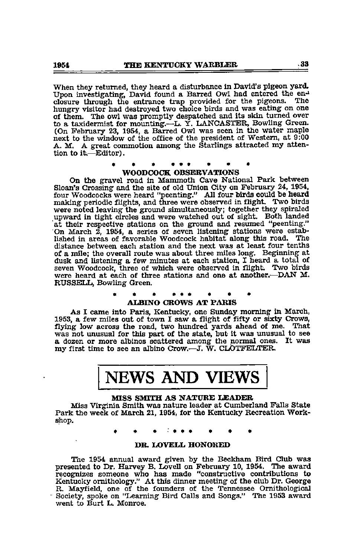When they returned, they heard a disturbance in David's pigeon yard.<br>Upon investigating, David found a Barred Owl had entered the en-<br>closure through the entrance tran provided for the pigeons. The closure through the entrance trap provided for the pigeons. The hungry visitor had destroyed two choice birds and was eating on one of them. The owl was promptly despatched and its skin turned over to a taxidermist for mounting.—L. Y. LANCASTER, Bowling Green. (On February 23, 1954, a Barred Owl was seen in the water maple next to the window of the office of the president of Western, at 9:00 A. M. A great commotion among the Starlings attracted my atten tion to it.—Editor).

### « • • •«\* • • « WOODCOCK OBSERVATIONS

On the gravel road in Mammoth Cave National Park between Sloan's Crossing and the site of old Union City on February 24, 1954, four Woodcocks were heard "peenting." All four birds could be heard were noted leaving the ground simultaneously; together they spiraled upward in tight circles and were watched out of sight. Both landed at their respective stations on the ground and resumed "peenting." On March 2, 1954, a series of seven listening stations were estab lished in areas of favorable Woodcock habitat along this road. The distance between each station and the next was at least four tenths of a mile; the overall route was about three miles long. Beginning at dusk and listening a few minutes at each station, I heard a total of seven Woodcock, three of which were observed in flight. Two birds were heard at each of three stations and one at another.—DAN M. RUSSELL^ Bowling Green.

#### • \* • • • • ALBINO CROWS AT PARIS

As I came into Paris, Kentucky, one Sunday morning in March, 1953, a few miles out of town I saw a flight of fifty or sixty Crows, was not unusual for this part of the state, but it was unusual to see<br>a dozen or more albinos scattered among the normal ones. It was<br>my first time to see an albino Crow.—J. W. CLOTFELTER.

# NEWS AND VIEWS

### MISS SMITH AS NATURE LEADER

Miss Virgfinia Smith was nature leader at Cumberland Falls State Park the week of March 21,1954, for the Kentucky Recreation Work shop.

### DR. LOVELL HONORED

The 1954 annual award given by the Beckham Bird Club was presented to Dr. Harvey B. Lovell on February 10, 1954. The award recognizes someone who has made "constructive contributions to Kentucky ornithology." At this dinner meeting of the club Dr. George R. Mayfield, one of the founders of the Tennessee Ornithological Society, spoke on "Learning Bird Calls and Songs." The <sup>1953</sup> award went to Burt <sup>L</sup> Monroe.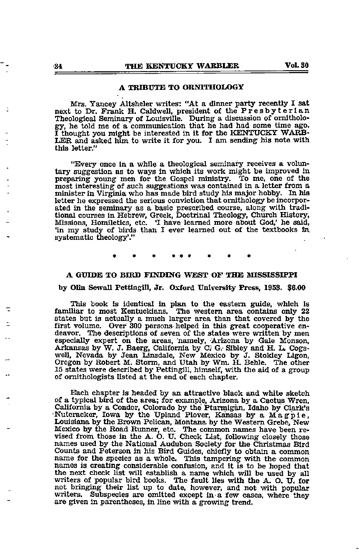### A TRIBUTE TO OBNTTHOLOGY

Mrs. Yancey Altsheler writes: "At a dinner party recently I sat next to Dr. Frank H. Caldwell, president of the Presbyterian Theological Seminary of Louisville. During a discussion of ornitholo gy, he told me of a communication that he had had some time ago. I thought you might be interested in it for the KENTUCKY WARB LER and asked him to write it for you. I am sending his note with this letter."

"Every once in a while a theological seminary receives a volun tary suggestion as to ways in which its work might be improved in preparing young men for the Gospel ministry. To me, one of the most interesting of such suggestions was contained in a letter from a minister in Virginia who has made bird study his major hobby. In his letter he expressed the serious conviction that ornithology be incorpor ated in the seminary as a basic prescribed course, along with tradi tional courses in Hebrew, Greek, Doctrinal Theology, Church History, Missions, Homiletics, etc. 'I have learned more about God,' he said, 'in my study of birds than I ever learned out of the textbooks bi systematic theology'."

#### <sup>A</sup> GUIDE TO BIRD FINDING WEST OF THE SHSSISSIPPI

#### by Olin Sewall Pettlngill, Jr. Oxford University Press, 195S. \$6.00

This book is identical in plan to the eastern guide, which Is familiar to most Kentuckians. The western area contains only 22 states but is actually a much larger area than that covered by the first volume. Over 300 persons helped in this great cooperative en deavor. The descriptions of seven of the states were written by men especially expert on the areas, namely, Arizona by Gale Monson, Arkansas by W. J. Baerg, California by Ci G.- Sibley and H. L. Cogs well, Nevada by Jean Linsdale, New Mexico by J. Stokley Ligon, Oregon by Robert M. Storm, and Utah by Wm. H. Behle. The other 15 states were described by Pettingill, himself, with the aid of a group of ornithologists listed at the end of each chapter.

Each chapter is headed by an attractive black and white sketch of a typical bird of the area; for example, Arizona by a C^tus Wren, California by a Condor, Colorado by the Ptarmigan, Idaho by Clark's Nutcracker, Iowa by the Upland Plover, Kansas by a Magpie, Louisiana by the Brown Pelican, Montana by the Western Grebe, New Mexico by the Road Rimner, etc. The common names have been re vised from those in the A. O. U. Check List, following closely those names used by the National Audubon Society for the Christmas Bird Counts and Peterson in his Bird Guides, chiefly to obtain <sup>a</sup> common name for the species as <sup>a</sup> whole. This tampering with the common names is creating considerable confusion, and it is to be hoped that the next check list will establish a name which will be used by all writers of popular bird books. The fault lies with the  $A$ . O. U. for not bringing their list up to date, however, and not with popular writers. Subspecies are omitted except in-a few cases, where they are given in parentheses, in line with <sup>a</sup> growing trend.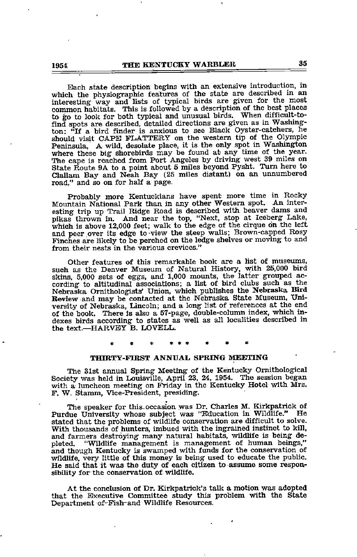Each state description begins with an extensive introduction, in which the physiographic features of the state are described in an interesting way and lists of typical birds are given for the most common habitats. This is followed by a description of the best places to go to look for both typical and unusual birds. When difficult-tofind spots are described, detailed directions are given as in Washing ton: "If a bird finder is anxious to see Black Oyster-catchers, he should visit CAPE FLATTERY on the western tip of the Olympic Peninsula. A wild, desolate place, it is the only spot in Washington where these big shorebirds may be found at any time of the year. The cape is reached from Port Angeles by driving west 39 miles on State Route 9A to a point about 5 miles beyond Pysht. Turn here to Clallam Bay and Neali Bay (25 miles distant) on an unnumbered road," and so on for half a page.

Probably more Kentuckians have spent more time in Rocky Mountain National Park than in any other Western spot. An inter esting trip up Trail Ridge Road is described with beaver dams and pikas thrown in. And near the top, "Next, stop at Iceberg Lake, which is above 12,000 feet; walk to the edge of the cirque on the left and peer over its edge to view the steep walls; Brown-capped Rosy Finches are likely to be perched on the ledge shelves or moving to and from their nests in the various crevices."

Other features of this remarkable book are a list of museums, such as the Denver Museum of Natural History, with 25,000 bird skins, 5,000 sets of eggs, and 1,000 moimts, the latter grouped ac cording to altitudinal associations; <sup>a</sup> list of bird clubs such as the Nebraska Ornithologists' Union, which publishes the Nebraska Bird Review and may be contacted at the Nebraska State Museum, Uni versity of Nebraska, Lincoln; and a long list of references at the end of the book. There is also a 57-page, double-column index, which in dexes birds according to states as well as all localities described in the text.—HARVEY B. LOVELL.

### THIRTY-FIRST ANNUAL SPRING MEETING

The 31st annual Spring Meeting of the Kentucky Ornithological Society was held in Louisville, April 23, 24, 1954. The session began<br>with a luncheon meeting on Friday in the Kentucky Hotel with Mrs. F. W. Stamm, Vice-President, presiding.

The speaker for this-occasion was Dr. Charles M. Kirkpatrick of Purdue University whose subject was "Education in Wildlife." stated that the problems of wildlife consewation are difficult to solve. With thousands of hunters, imbued with the ingrained instinct to kill, and farmers destroying many natural habitats, wildlife is being depleted. "Wildlife management is management of human beings," and though Kentucky is swamped with funds for the conservation of wildlife, very little of this money is being used to educate the public. He said that it was the duty of each citizen to assume some respon sibility for the conservation of wildlife.

At the conclusion of Dr. Kirkpatrick's talk a motion was adopted that the Executive Committee study this problem with the State Department of-Fish-and Wildlife Resources.